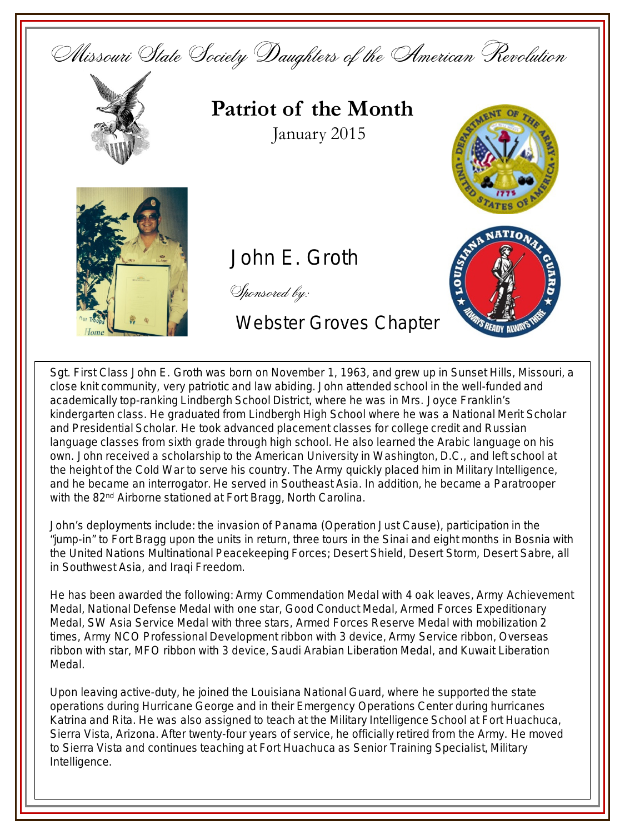

Sgt. First Class John E. Groth was born on November 1, 1963, and grew up in Sunset Hills, Missouri, a close knit community, very patriotic and law abiding. John attended school in the well-funded and academically top-ranking Lindbergh School District, where he was in Mrs. Joyce Franklin's kindergarten class. He graduated from Lindbergh High School where he was a National Merit Scholar and Presidential Scholar. He took advanced placement classes for college credit and Russian language classes from sixth grade through high school. He also learned the Arabic language on his own. John received a scholarship to the American University in Washington, D.C., and left school at the height of the Cold War to serve his country. The Army quickly placed him in Military Intelligence, and he became an interrogator. He served in Southeast Asia. In addition, he became a Paratrooper with the 82<sup>nd</sup> Airborne stationed at Fort Bragg, North Carolina.

John's deployments include: the invasion of Panama (Operation Just Cause), participation in the "jump-in" to Fort Bragg upon the units in return, three tours in the Sinai and eight months in Bosnia with the United Nations Multinational Peacekeeping Forces; Desert Shield, Desert Storm, Desert Sabre, all in Southwest Asia, and Iraqi Freedom.

He has been awarded the following: Army Commendation Medal with 4 oak leaves, Army Achievement Medal, National Defense Medal with one star, Good Conduct Medal, Armed Forces Expeditionary Medal, SW Asia Service Medal with three stars, Armed Forces Reserve Medal with mobilization 2 times, Army NCO Professional Development ribbon with 3 device, Army Service ribbon, Overseas ribbon with star, MFO ribbon with 3 device, Saudi Arabian Liberation Medal, and Kuwait Liberation Medal.

Upon leaving active-duty, he joined the Louisiana National Guard, where he supported the state operations during Hurricane George and in their Emergency Operations Center during hurricanes Katrina and Rita. He was also assigned to teach at the Military Intelligence School at Fort Huachuca, Sierra Vista, Arizona. After twenty-four years of service, he officially retired from the Army. He moved to Sierra Vista and continues teaching at Fort Huachuca as Senior Training Specialist, Military Intelligence.